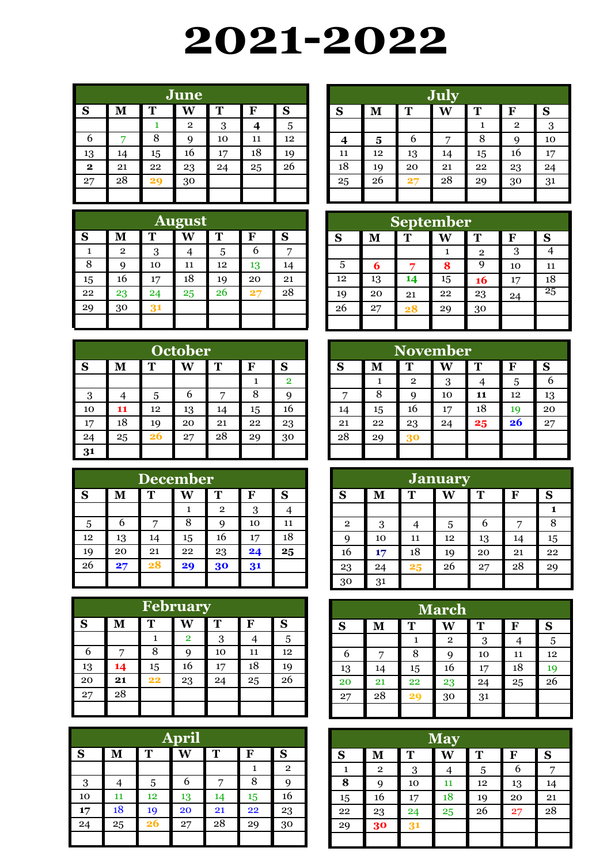## **2021-2022**

| June         |    |    |                |    |    |    |  |  |
|--------------|----|----|----------------|----|----|----|--|--|
| S            | M  | T  | W              | T  | F  | S  |  |  |
|              |    |    | $\overline{2}$ | 3  |    | 5  |  |  |
| 6            |    | 8  | 9              | 10 | 11 | 12 |  |  |
| 13           | 14 | 15 | 16             | 17 | 18 | 19 |  |  |
| $\mathbf{2}$ | 21 | 22 | 23             | 24 | 25 | 26 |  |  |
| 27           | 28 | 29 | 30             |    |    |    |  |  |
|              |    |    |                |    |    |    |  |  |

| <b>August</b> |              |    |    |    |               |    |  |  |
|---------------|--------------|----|----|----|---------------|----|--|--|
| S             | $\bf M$      | T  |    | T  | F             | S  |  |  |
| ı             | $\mathbf{2}$ | 3  |    | 5  | 6             |    |  |  |
| 8             | 9            | 10 | 11 | 12 | 13            | 14 |  |  |
| 15            | 16           | 17 | 18 | 19 | 20            | 21 |  |  |
| 22            | 23           | 24 | 25 | 26 | $\mathbf{27}$ | 28 |  |  |
| 29            | 30           | 31 |    |    |               |    |  |  |
|               |              |    |    |    |               |    |  |  |

| <b>October</b> |    |                       |    |    |    |                |  |  |  |
|----------------|----|-----------------------|----|----|----|----------------|--|--|--|
| S              | M  | T<br>T<br>S<br>W<br>F |    |    |    |                |  |  |  |
|                |    |                       |    |    |    | $\overline{2}$ |  |  |  |
| 3              |    | 5                     | 6  |    | 8  |                |  |  |  |
| 10             | 11 | 12                    | 13 | 14 | 15 | 16             |  |  |  |
| 17             | 18 | 19                    | 20 | 21 | 22 | 23             |  |  |  |
| 24             | 25 | 26                    | 27 | 28 | 29 | 30             |  |  |  |
| 31             |    |                       |    |    |    |                |  |  |  |

|                            | <b>December</b> |    |    |              |    |    |  |  |  |
|----------------------------|-----------------|----|----|--------------|----|----|--|--|--|
| T<br>S<br>S<br>Т<br>M<br>F |                 |    |    |              |    |    |  |  |  |
|                            |                 |    |    | $\mathbf{2}$ | 3  |    |  |  |  |
| 5                          | 6               |    | 8  | 9            | 10 | 11 |  |  |  |
| 12                         | 13              | 14 | 15 | 16           | 17 | 18 |  |  |  |
| 19                         | 20              | 21 | 22 | 23           | 24 | 25 |  |  |  |
| 26                         | $\mathbf{27}$   | 28 | 29 | 30           | 31 |    |  |  |  |
|                            |                 |    |    |              |    |    |  |  |  |

| February |    |                  |                |    |    |    |  |  |  |
|----------|----|------------------|----------------|----|----|----|--|--|--|
| S        | M  | S<br>T<br>Т<br>F |                |    |    |    |  |  |  |
|          |    |                  | $\overline{2}$ | 3  |    | 5  |  |  |  |
| 6        |    | 8                | 9              | 10 | 11 | 12 |  |  |  |
| 13       | 14 | 15               | 16             | 17 | 18 | 19 |  |  |  |
| 20       | 21 | 22               | 23             | 24 | 25 | 26 |  |  |  |
| 27       | 28 |                  |                |    |    |    |  |  |  |
|          |    |                  |                |    |    |    |  |  |  |

| <b>April</b> |    |    |    |    |    |              |  |  |
|--------------|----|----|----|----|----|--------------|--|--|
| S            | M  | T  | W  | T  | F  | S            |  |  |
|              |    |    |    |    |    | $\mathbf{2}$ |  |  |
| 3            | 4  | 5  | 6  | 7  | 8  |              |  |  |
| 10           | 11 | 12 | 13 | 14 | 15 | 16           |  |  |
| 17           | 18 | 19 | 20 | 21 | 22 | 23           |  |  |
| 24           | 25 | 26 | 27 | 28 | 29 | 30           |  |  |
|              |    |    |    |    |    |              |  |  |

| July |    |    |    |    |              |    |  |  |
|------|----|----|----|----|--------------|----|--|--|
| S    | M  | T  | W  | T  | F            | S  |  |  |
|      |    |    |    | 1  | $\mathbf{2}$ | 3  |  |  |
|      | 5  | 6  | 7  | 8  | 9            | 10 |  |  |
| 11   | 12 | 13 | 14 | 15 | 16           | 17 |  |  |
| 18   | 19 | 20 | 21 | 22 | 23           | 24 |  |  |
| 25   | 26 | 27 | 28 | 29 | 30           | 31 |  |  |
|      |    |    |    |    |              |    |  |  |

| <b>September</b> |    |    |    |              |    |    |  |  |
|------------------|----|----|----|--------------|----|----|--|--|
| S                | M  | Т  |    | T            | F  | S  |  |  |
|                  |    |    |    | $\mathbf{2}$ | 3  |    |  |  |
| 5                | 6  | 7  | 8  | g            | 10 | 11 |  |  |
| 12               | 13 | 14 | 15 | 16           | 17 | 18 |  |  |
| 19               | 20 | 21 | 22 | 23           | 24 | 25 |  |  |
| 26               | 27 | 28 | 29 | 30           |    |    |  |  |
|                  |    |    |    |              |    |    |  |  |

| <b>November</b> |                       |              |    |    |    |    |  |  |
|-----------------|-----------------------|--------------|----|----|----|----|--|--|
| S               | Т<br>S<br>Т<br>F<br>М |              |    |    |    |    |  |  |
|                 | 1                     | $\mathbf{2}$ | 3  |    | 5  |    |  |  |
|                 | 8                     | q            | 10 | 11 | 12 | 13 |  |  |
| 14              | 15                    | 16           | 17 | 18 | 19 | 20 |  |  |
| 21              | 22                    | 23           | 24 | 25 | 26 | 27 |  |  |
| 28              | 29                    | 30           |    |    |    |    |  |  |
|                 |                       |              |    |    |    |    |  |  |

|                | <b>January</b>             |    |    |    |    |    |  |  |  |
|----------------|----------------------------|----|----|----|----|----|--|--|--|
| S              | S<br>T<br>T<br>W<br>F<br>М |    |    |    |    |    |  |  |  |
|                |                            |    |    |    |    | 1  |  |  |  |
| $\overline{2}$ | 3                          |    | 5  | 6  | 7  | 8  |  |  |  |
| 9              | 10                         | 11 | 12 | 13 | 14 | 15 |  |  |  |
| 16             | 17                         | 18 | 19 | 20 | 21 | 22 |  |  |  |
| 23             | 24                         | 25 | 26 | 27 | 28 | 29 |  |  |  |
| 30             | 31                         |    |    |    |    |    |  |  |  |

| March |    |    |                |    |    |    |  |  |
|-------|----|----|----------------|----|----|----|--|--|
| S     | M  | T  | W              | T  | F  | S  |  |  |
|       |    |    | $\overline{2}$ | 3  | 4  | 5  |  |  |
| 6     | 7  | 8  | 9              | 10 | 11 | 12 |  |  |
| 13    | 14 | 15 | 16             | 17 | 18 | 19 |  |  |
| 20    | 21 | 22 | 23             | 24 | 25 | 26 |  |  |
| 27    | 28 | 29 | 30             | 31 |    |    |  |  |
|       |    |    |                |    |    |    |  |  |

|    | <b>May</b>     |    |    |    |    |              |  |  |  |
|----|----------------|----|----|----|----|--------------|--|--|--|
| S  | M              | T  | W  | T  | F  | $\mathbf{s}$ |  |  |  |
| 1  | $\overline{2}$ | 3  |    | 5  | 6  |              |  |  |  |
| 8  | 9              | 10 | 11 | 12 | 13 | 14           |  |  |  |
| 15 | 16             | 17 | 18 | 19 | 20 | 21           |  |  |  |
| 22 | 23             | 24 | 25 | 26 | 27 | 28           |  |  |  |
| 29 | 30             | 31 |    |    |    |              |  |  |  |
|    |                |    |    |    |    |              |  |  |  |